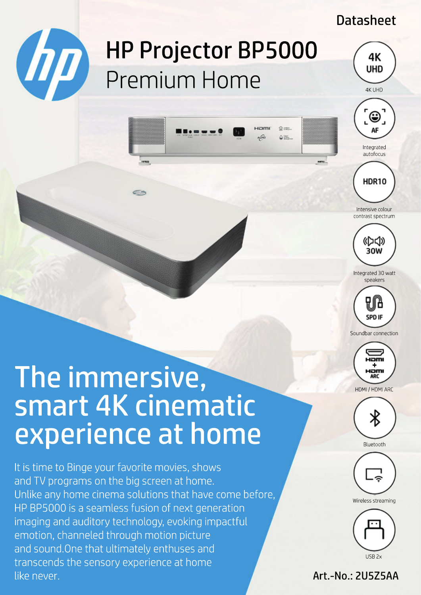## Datasheet

4K UHD

# HP Projector BP5000 **COD** HP Projector BP<br>Premium Home

Hami

46

O mer

 $\Delta$  inc.







Intensive colour contrast spectrum



Integrated 30 watt speakers



Soundbar connection



### HDMI / HDMI ARC



Bluetooth







### Art.-No.: 2U5Z5AA

# The immersive, smart 4K cinematic experience at home

transcends the sensory experience at home  $\mathcal{L}$  is a from HP Inc.::  $\mathcal{L}$ Distributor: GO Europe GmbH | Zum Kraftwerk 1 | 45527 Hattingen (Germany) sales-hp $\epsilon$ europe.com | https://officeeduipment.go-europe.com | Fon: +49 (0) 2324 6801  $\epsilon$ It is time to Binge your favorite movies, shows and TV programs on the big screen at home. Unlike any home cinema solutions that have come before, HP BP5000 is a seamless fusion of next generation imaging and auditory technology, evoking impactful emotion, channeled through motion picture and sound.One that ultimately enthuses and like never.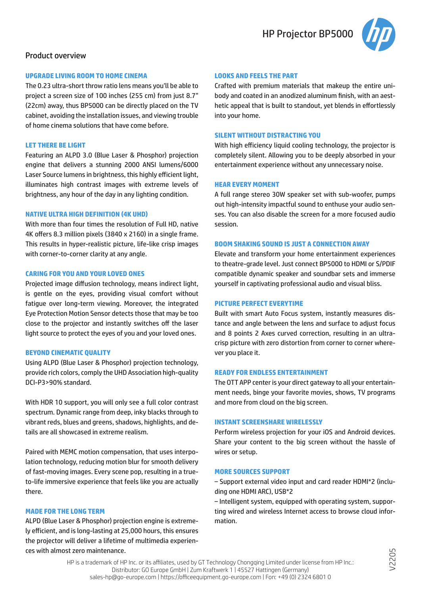

#### Product overview

#### **UPGRADE LIVING ROOM TO HOME CINEMA**

The 0.23 ultra-short throw ratio lens means you'll be able to project a screen size of 100 inches (255 cm) from just 8.7" (22cm) away, thus BP5000 can be directly placed on the TV cabinet, avoiding the installation issues, and viewing trouble of home cinema solutions that have come before.

#### **LET THERE BE LIGHT**

Featuring an ALPD 3.0 (Blue Laser & Phosphor) projection engine that delivers a stunning 2000 ANSI lumens/6000 Laser Source lumens in brightness, this highly efficient light, illuminates high contrast images with extreme levels of brightness, any hour of the day in any lighting condition.

#### **NATIVE ULTRA HIGH DEFINITION (4K UHD)**

With more than four times the resolution of Full HD, native 4K offers 8.3 million pixels (3840 x 2160) in a single frame. This results in hyper-realistic picture, life-like crisp images with corner-to-corner clarity at any angle.

#### **CARING FOR YOU AND YOUR LOVED ONES**

Projected image diffusion technology, means indirect light, is gentle on the eyes, providing visual comfort without fatigue over long-term viewing. Moreover, the integrated Eye Protection Motion Sensor detects those that may be too close to the projector and instantly switches off the laser light source to protect the eyes of you and your loved ones.

#### **BEYOND CINEMATIC QUALITY**

Using ALPD (Blue Laser & Phosphor) projection technology, provide rich colors, comply the UHD Association high-quality DCI-P3>90% standard.

With HDR 10 support, you will only see a full color contrast spectrum. Dynamic range from deep, inky blacks through to vibrant reds, blues and greens, shadows, highlights, and details are all showcased in extreme realism.

Paired with MEMC motion compensation, that uses interpolation technology, reducing motion blur for smooth delivery of fast-moving images. Every scene pop, resulting in a trueto-life immersive experience that feels like you are actually there.

#### **MADE FOR THE LONG TERM**

ALPD (Blue Laser & Phosphor) projection engine is extremely efficient, and is long-lasting at 25,000 hours, this ensures the projector will deliver a lifetime of multimedia experiences with almost zero maintenance.

#### **LOOKS AND FEELS THE PART**

Crafted with premium materials that makeup the entire unibody and coated in an anodized aluminum finish, with an aesthetic appeal that is built to standout, yet blends in effortlessly into your home.

#### **SILENT WITHOUT DISTRACTING YOU**

With high efficiency liquid cooling technology, the projector is completely silent. Allowing you to be deeply absorbed in your entertainment experience without any unnecessary noise.

#### **HEAR EVERY MOMENT**

A full range stereo 30W speaker set with sub-woofer, pumps out high-intensity impactful sound to enthuse your audio senses. You can also disable the screen for a more focused audio session.

#### **BOOM SHAKING SOUND IS JUST A CONNECTION AWAY**

Elevate and transform your home entertainment experiences to theatre-grade level. Just connect BP5000 to HDMI or S/PDIF compatible dynamic speaker and soundbar sets and immerse yourself in captivating professional audio and visual bliss.

#### **PICTURE PERFECT EVERYTIME**

Built with smart Auto Focus system, instantly measures distance and angle between the lens and surface to adjust focus and 8 points 2 Axes curved correction, resulting in an ultracrisp picture with zero distortion from corner to corner wherever you place it.

#### **READY FOR ENDLESS ENTERTAINMENT**

The OTT APP center is your direct gateway to all your entertainment needs, binge your favorite movies, shows, TV programs and more from cloud on the big screen.

#### **INSTANT SCREENSHARE WIRELESSLY**

Perform wireless projection for your iOS and Android devices. Share your content to the big screen without the hassle of wires or setup.

#### **MORE SOURCES SUPPORT**

‒ Support external video input and card reader HDMI\*2 (including one HDMI ARC), USB\*2

‒ Intelligent system, equipped with operating system, supporting wired and wireless Internet access to browse cloud information.